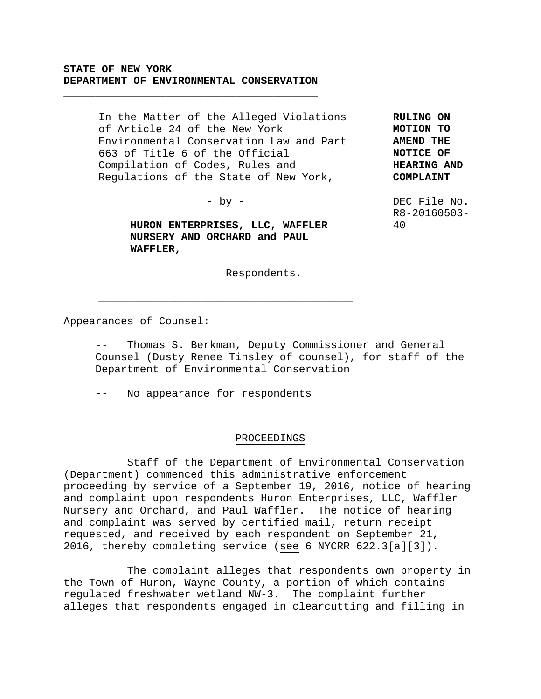## **STATE OF NEW YORK DEPARTMENT OF ENVIRONMENTAL CONSERVATION**

**\_\_\_\_\_\_\_\_\_\_\_\_\_\_\_\_\_\_\_\_\_\_\_\_\_\_\_\_\_\_\_\_\_\_\_\_\_\_\_\_**

In the Matter of the Alleged Violations of Article 24 of the New York Environmental Conservation Law and Part 663 of Title 6 of the Official Compilation of Codes, Rules and Regulations of the State of New York,

- by -

**HURON ENTERPRISES, LLC, WAFFLER NURSERY AND ORCHARD and PAUL WAFFLER,**

**\_\_\_\_\_\_\_\_\_\_\_\_\_\_\_\_\_\_\_\_\_\_\_\_\_\_\_\_\_\_\_\_\_\_\_\_\_\_\_\_**

**AMEND THE NOTICE OF HEARING AND COMPLAINT**

**RULING ON MOTION TO** 

DEC File No. R8-20160503- 40

Respondents.

Appearances of Counsel:

Thomas S. Berkman, Deputy Commissioner and General Counsel (Dusty Renee Tinsley of counsel), for staff of the Department of Environmental Conservation

-- No appearance for respondents

## PROCEEDINGS

Staff of the Department of Environmental Conservation (Department) commenced this administrative enforcement proceeding by service of a September 19, 2016, notice of hearing and complaint upon respondents Huron Enterprises, LLC, Waffler Nursery and Orchard, and Paul Waffler. The notice of hearing and complaint was served by certified mail, return receipt requested, and received by each respondent on September 21, 2016, thereby completing service (see 6 NYCRR 622.3[a][3]).

The complaint alleges that respondents own property in the Town of Huron, Wayne County, a portion of which contains regulated freshwater wetland NW-3. The complaint further alleges that respondents engaged in clearcutting and filling in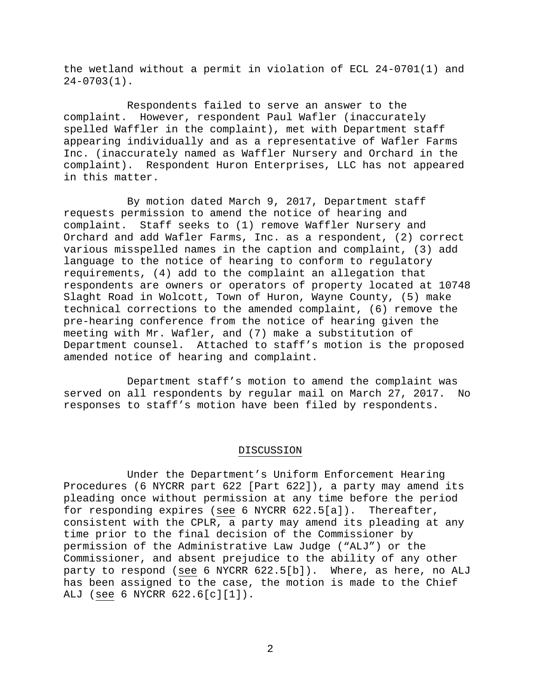the wetland without a permit in violation of ECL 24-0701(1) and 24-0703(1).

Respondents failed to serve an answer to the complaint. However, respondent Paul Wafler (inaccurately spelled Waffler in the complaint), met with Department staff appearing individually and as a representative of Wafler Farms Inc. (inaccurately named as Waffler Nursery and Orchard in the complaint). Respondent Huron Enterprises, LLC has not appeared in this matter.

By motion dated March 9, 2017, Department staff requests permission to amend the notice of hearing and complaint. Staff seeks to (1) remove Waffler Nursery and Orchard and add Wafler Farms, Inc. as a respondent, (2) correct various misspelled names in the caption and complaint, (3) add language to the notice of hearing to conform to regulatory requirements, (4) add to the complaint an allegation that respondents are owners or operators of property located at 10748 Slaght Road in Wolcott, Town of Huron, Wayne County, (5) make technical corrections to the amended complaint, (6) remove the pre-hearing conference from the notice of hearing given the meeting with Mr. Wafler, and (7) make a substitution of Department counsel. Attached to staff's motion is the proposed amended notice of hearing and complaint.

Department staff's motion to amend the complaint was served on all respondents by regular mail on March 27, 2017. No responses to staff's motion have been filed by respondents.

## DISCUSSION

Under the Department's Uniform Enforcement Hearing Procedures (6 NYCRR part 622 [Part 622]), a party may amend its pleading once without permission at any time before the period for responding expires (see 6 NYCRR 622.5[a]). Thereafter, consistent with the CPLR, a party may amend its pleading at any time prior to the final decision of the Commissioner by permission of the Administrative Law Judge ("ALJ") or the Commissioner, and absent prejudice to the ability of any other party to respond (see 6 NYCRR 622.5[b]). Where, as here, no ALJ has been assigned to the case, the motion is made to the Chief ALJ (see 6 NYCRR 622.6[c][1]).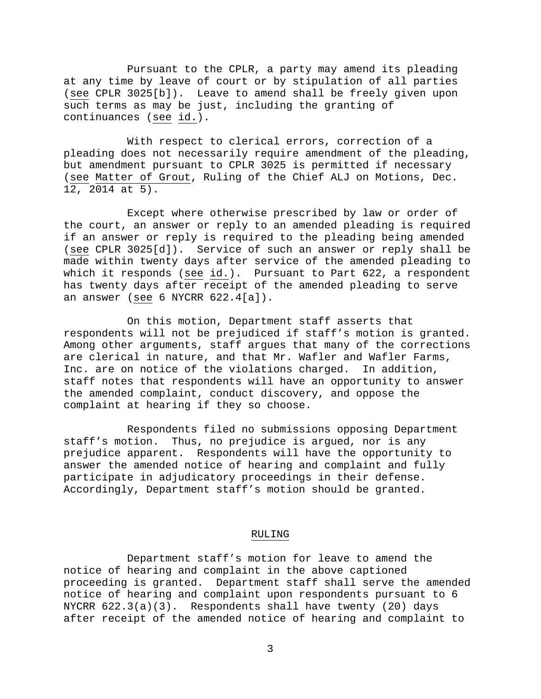Pursuant to the CPLR, a party may amend its pleading at any time by leave of court or by stipulation of all parties (see CPLR 3025[b]). Leave to amend shall be freely given upon such terms as may be just, including the granting of continuances (see id.).

With respect to clerical errors, correction of a pleading does not necessarily require amendment of the pleading, but amendment pursuant to CPLR 3025 is permitted if necessary (see Matter of Grout, Ruling of the Chief ALJ on Motions, Dec. 12, 2014 at 5).

Except where otherwise prescribed by law or order of the court, an answer or reply to an amended pleading is required if an answer or reply is required to the pleading being amended (see CPLR 3025[d]). Service of such an answer or reply shall be made within twenty days after service of the amended pleading to which it responds (see id.). Pursuant to Part 622, a respondent has twenty days after receipt of the amended pleading to serve an answer (see 6 NYCRR 622.4[a]).

On this motion, Department staff asserts that respondents will not be prejudiced if staff's motion is granted. Among other arguments, staff argues that many of the corrections are clerical in nature, and that Mr. Wafler and Wafler Farms, Inc. are on notice of the violations charged. In addition, staff notes that respondents will have an opportunity to answer the amended complaint, conduct discovery, and oppose the complaint at hearing if they so choose.

Respondents filed no submissions opposing Department staff's motion. Thus, no prejudice is argued, nor is any prejudice apparent. Respondents will have the opportunity to answer the amended notice of hearing and complaint and fully participate in adjudicatory proceedings in their defense. Accordingly, Department staff's motion should be granted.

## RULING

Department staff's motion for leave to amend the notice of hearing and complaint in the above captioned proceeding is granted. Department staff shall serve the amended notice of hearing and complaint upon respondents pursuant to 6 NYCRR 622.3(a)(3). Respondents shall have twenty (20) days after receipt of the amended notice of hearing and complaint to